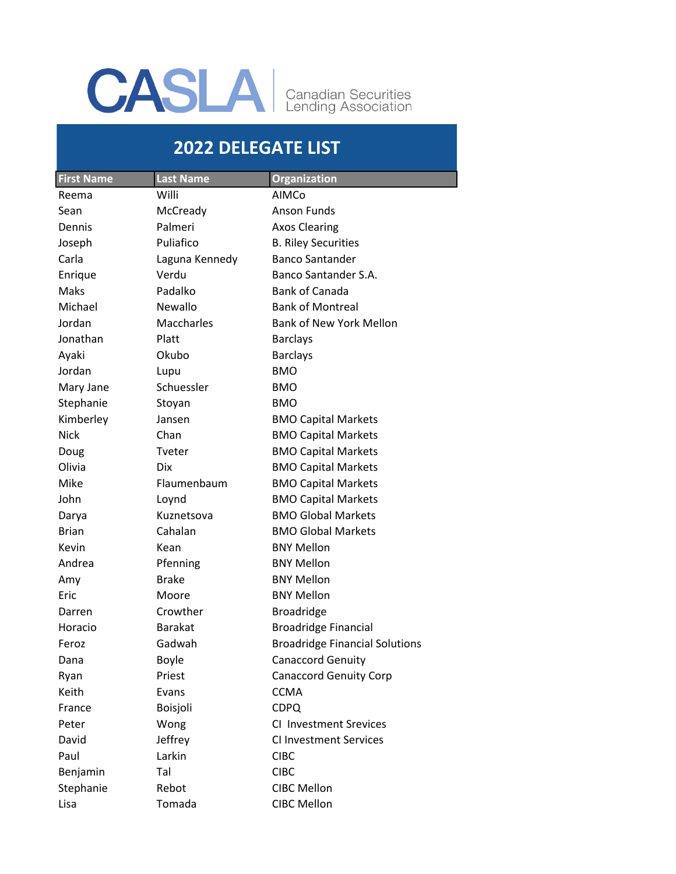## CASLA Canadian Securities

## **2022 DELEGATE LIST**

| <b>First Name</b> | <b>Last Name</b> | <b>Organization</b>                   |
|-------------------|------------------|---------------------------------------|
| Reema             | Willi            | AIMCo                                 |
| Sean              | McCready         | <b>Anson Funds</b>                    |
| Dennis            | Palmeri          | <b>Axos Clearing</b>                  |
| Joseph            | Puliafico        | <b>B. Riley Securities</b>            |
| Carla             | Laguna Kennedy   | <b>Banco Santander</b>                |
| Enrique           | Verdu            | Banco Santander S.A.                  |
| Maks              | Padalko          | <b>Bank of Canada</b>                 |
| Michael           | <b>Newallo</b>   | <b>Bank of Montreal</b>               |
| Jordan            | Maccharles       | <b>Bank of New York Mellon</b>        |
| Jonathan          | Platt            | <b>Barclays</b>                       |
| Ayaki             | Okubo            | <b>Barclays</b>                       |
| Jordan            | Lupu             | <b>BMO</b>                            |
| Mary Jane         | Schuessler       | BMO                                   |
| Stephanie         | Stoyan           | BMO                                   |
| Kimberley         | Jansen           | <b>BMO Capital Markets</b>            |
| <b>Nick</b>       | Chan             | <b>BMO Capital Markets</b>            |
| Doug              | Tveter           | <b>BMO Capital Markets</b>            |
| Olivia            | <b>Dix</b>       | <b>BMO Capital Markets</b>            |
| Mike              | Flaumenbaum      | <b>BMO Capital Markets</b>            |
| John              | Loynd            | <b>BMO Capital Markets</b>            |
| Darya             | Kuznetsova       | <b>BMO Global Markets</b>             |
| <b>Brian</b>      | Cahalan          | <b>BMO Global Markets</b>             |
| Kevin             | Kean             | <b>BNY Mellon</b>                     |
| Andrea            | Pfenning         | <b>BNY Mellon</b>                     |
| Amy               | <b>Brake</b>     | <b>BNY Mellon</b>                     |
| Eric              | Moore            | <b>BNY Mellon</b>                     |
| Darren            | Crowther         | <b>Broadridge</b>                     |
| Horacio           | <b>Barakat</b>   | <b>Broadridge Financial</b>           |
| Feroz             | Gadwah           | <b>Broadridge Financial Solutions</b> |
| Dana              | <b>Boyle</b>     | <b>Canaccord Genuity</b>              |
| Ryan              | Priest           | <b>Canaccord Genuity Corp</b>         |
| Keith             | Evans            | <b>CCMA</b>                           |
| France            | Boisjoli         | <b>CDPQ</b>                           |
| Peter             | Wong             | <b>CI Investment Srevices</b>         |
| David             | Jeffrey          | <b>CI Investment Services</b>         |
| Paul              | Larkin           | <b>CIBC</b>                           |
| Benjamin          | Tal              | <b>CIBC</b>                           |
| Stephanie         | Rebot            | <b>CIBC Mellon</b>                    |
| Lisa              | Tomada           | <b>CIBC Mellon</b>                    |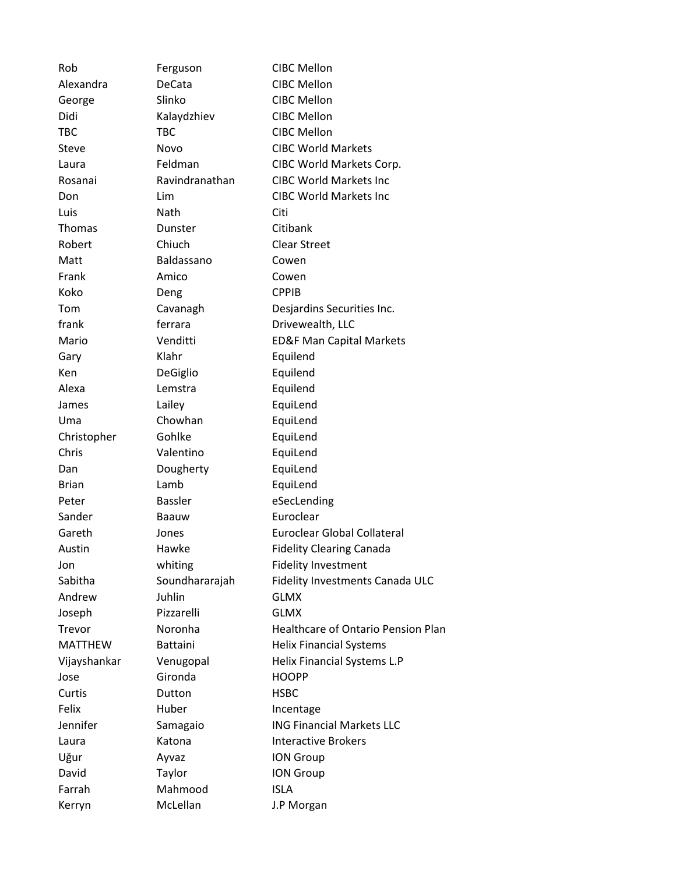| Rob            | Ferguson       | <b>CIBC Mellon</b>                        |
|----------------|----------------|-------------------------------------------|
| Alexandra      | DeCata         | <b>CIBC Mellon</b>                        |
| George         | Slinko         | <b>CIBC Mellon</b>                        |
| Didi           | Kalaydzhiev    | <b>CIBC Mellon</b>                        |
| <b>TBC</b>     | <b>TBC</b>     | <b>CIBC Mellon</b>                        |
| Steve          | Novo           | <b>CIBC World Markets</b>                 |
| Laura          | Feldman        | CIBC World Markets Corp.                  |
| Rosanai        | Ravindranathan | <b>CIBC World Markets Inc</b>             |
| Don            | Lim            | <b>CIBC World Markets Inc</b>             |
| Luis           | Nath           | Citi                                      |
| Thomas         | Dunster        | Citibank                                  |
| Robert         | Chiuch         | <b>Clear Street</b>                       |
| Matt           | Baldassano     | Cowen                                     |
| Frank          | Amico          | Cowen                                     |
| Koko           | Deng           | <b>CPPIB</b>                              |
| Tom            | Cavanagh       | Desjardins Securities Inc.                |
| frank          | ferrara        | Drivewealth, LLC                          |
| Mario          | Venditti       | <b>ED&amp;F Man Capital Markets</b>       |
| Gary           | Klahr          | Equilend                                  |
| Ken            | DeGiglio       | Equilend                                  |
| Alexa          | Lemstra        | Equilend                                  |
| James          | Lailey         | EquiLend                                  |
| Uma            | Chowhan        | EquiLend                                  |
| Christopher    | Gohlke         | EquiLend                                  |
| Chris          | Valentino      | EquiLend                                  |
| Dan            | Dougherty      | EquiLend                                  |
| <b>Brian</b>   | Lamb           | EquiLend                                  |
| Peter          | <b>Bassler</b> | eSecLending                               |
| Sander         | Baauw          | Euroclear                                 |
| Gareth         | Jones          | <b>Euroclear Global Collateral</b>        |
| Austin         | Hawke          | <b>Fidelity Clearing Canada</b>           |
| Jon            | whiting        | <b>Fidelity Investment</b>                |
| Sabitha        | Soundhararajah | Fidelity Investments Canada ULC           |
| Andrew         | Juhlin         | <b>GLMX</b>                               |
| Joseph         | Pizzarelli     | <b>GLMX</b>                               |
| Trevor         | Noronha        | <b>Healthcare of Ontario Pension Plan</b> |
| <b>MATTHEW</b> | Battaini       | <b>Helix Financial Systems</b>            |
| Vijayshankar   | Venugopal      | Helix Financial Systems L.P               |
| Jose           | Gironda        | <b>HOOPP</b>                              |
| Curtis         | Dutton         | <b>HSBC</b>                               |
| Felix          | Huber          | Incentage                                 |
| Jennifer       | Samagaio       | <b>ING Financial Markets LLC</b>          |
| Laura          | Katona         | <b>Interactive Brokers</b>                |
| Uğur           | Ayvaz          | <b>ION Group</b>                          |
| David          | Taylor         | <b>ION Group</b>                          |
| Farrah         | Mahmood        | <b>ISLA</b>                               |
| Kerryn         | McLellan       | J.P Morgan                                |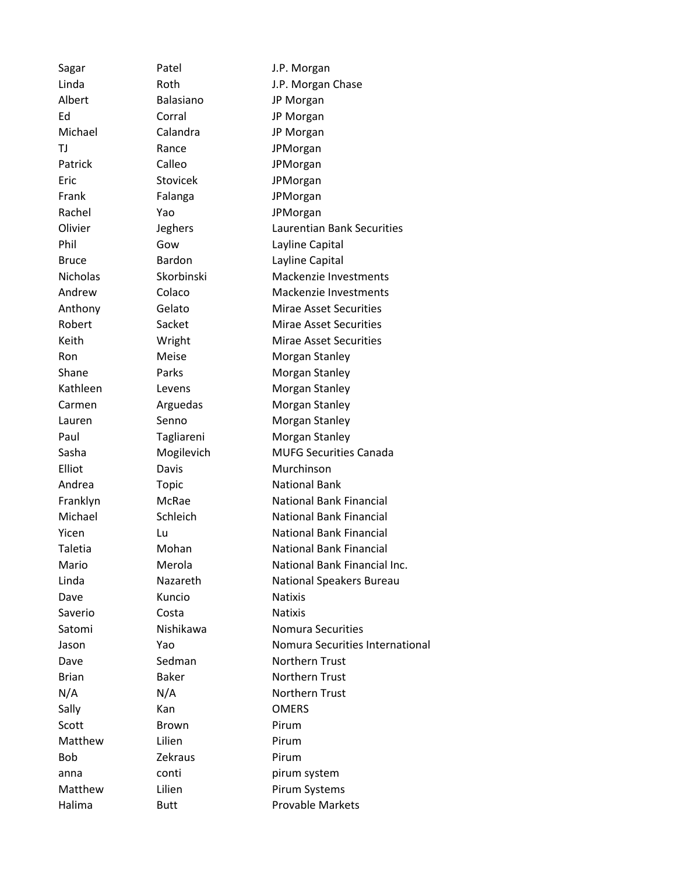Sagar Patel **Patel** J.P. Morgan Linda Roth J.P. Morgan Chase Albert Balasiano JP Morgan Ed Corral JP Morgan Michael Calandra JP Morgan TJ Rance JPMorgan Patrick Calleo JPMorgan Eric Stovicek JPMorgan Frank Falanga JPMorgan Rachel Yao JPMorgan Olivier **Jeghers** Laurentian Bank Securities Phil Gow Gow Lavline Capital Bruce **Bardon** Bardon **Layline Capital** Nicholas Skorbinski Mackenzie Investments Andrew Colaco Mackenzie Investments Anthony Gelato Mirae Asset Securities Robert Sacket Mirae Asset Securities Keith **Wright** Mirae Asset Securities Ron Meise Morgan Stanley Shane Parks Morgan Stanley Kathleen Levens Morgan Stanley Carmen **Arguedas** Morgan Stanley Lauren Senno Morgan Stanley Paul Tagliareni Morgan Stanley Sasha Mogilevich MUFG Securities Canada Elliot Davis Davis Murchinson Andrea Topic National Bank Franklyn McRae National Bank Financial Michael Schleich National Bank Financial **Yicen** Lu Lu National Bank Financial Taletia **Mohan** National Bank Financial Mario Merola National Bank Financial Inc. Linda Nazareth National Speakers Bureau Dave **Kuncio Natixis** Saverio Costa Natixis Satomi Nishikawa Nomura Securities Jason Yao Nomura Securities International Dave Sedman Northern Trust Brian Baker Northern Trust N/A Northern Trust Sally **Kan COMERS** Scott **Brown** Pirum Matthew Lilien **Pirum** Bob Zekraus Pirum anna conti pirum system Matthew Lilien **Pirum Systems** Halima Butt **Butt Provable Markets**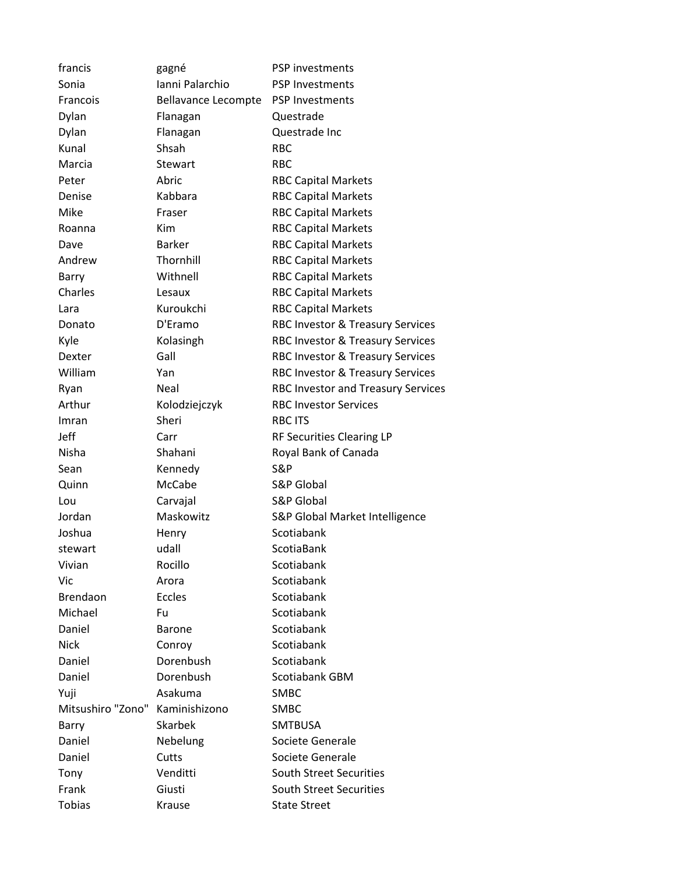| francis           | gagné                      | PSP investments                           |
|-------------------|----------------------------|-------------------------------------------|
| Sonia             | Ianni Palarchio            | <b>PSP Investments</b>                    |
| Francois          | <b>Bellavance Lecompte</b> | <b>PSP Investments</b>                    |
| Dylan             | Flanagan                   | Questrade                                 |
| Dylan             | Flanagan                   | Questrade Inc                             |
| Kunal             | Shsah                      | <b>RBC</b>                                |
| Marcia            | <b>Stewart</b>             | <b>RBC</b>                                |
| Peter             | Abric                      | <b>RBC Capital Markets</b>                |
| Denise            | Kabbara                    | <b>RBC Capital Markets</b>                |
| Mike              | Fraser                     | <b>RBC Capital Markets</b>                |
| Roanna            | Kim                        | <b>RBC Capital Markets</b>                |
| Dave              | <b>Barker</b>              | <b>RBC Capital Markets</b>                |
| Andrew            | Thornhill                  | <b>RBC Capital Markets</b>                |
| Barry             | Withnell                   | <b>RBC Capital Markets</b>                |
| Charles           | Lesaux                     | <b>RBC Capital Markets</b>                |
| Lara              | Kuroukchi                  | <b>RBC Capital Markets</b>                |
| Donato            | D'Eramo                    | RBC Investor & Treasury Services          |
| Kyle              | Kolasingh                  | RBC Investor & Treasury Services          |
| Dexter            | Gall                       | RBC Investor & Treasury Services          |
| William           | Yan                        | RBC Investor & Treasury Services          |
| Ryan              | Neal                       | <b>RBC Investor and Treasury Services</b> |
| Arthur            | Kolodziejczyk              | <b>RBC Investor Services</b>              |
| Imran             | Sheri                      | <b>RBC ITS</b>                            |
| Jeff              | Carr                       | <b>RF Securities Clearing LP</b>          |
| Nisha             | Shahani                    | Royal Bank of Canada                      |
| Sean              | Kennedy                    | S&P                                       |
| Quinn             | McCabe                     | <b>S&amp;P Global</b>                     |
| Lou               | Carvajal                   | <b>S&amp;P Global</b>                     |
| Jordan            | Maskowitz                  | S&P Global Market Intelligence            |
| Joshua            | Henry                      | Scotiabank                                |
| stewart           | udall                      | <b>ScotiaBank</b>                         |
| Vivian            | Rocillo                    | Scotiabank                                |
| Vic               | Arora                      | Scotiabank                                |
| <b>Brendaon</b>   | <b>Eccles</b>              | Scotiabank                                |
| Michael           | Fu                         | Scotiabank                                |
| Daniel            | <b>Barone</b>              | Scotiabank                                |
| <b>Nick</b>       | Conroy                     | Scotiabank                                |
| Daniel            | Dorenbush                  | Scotiabank                                |
| Daniel            | Dorenbush                  | Scotiabank GBM                            |
| Yuji              | Asakuma                    | SMBC                                      |
| Mitsushiro "Zono" | Kaminishizono              | <b>SMBC</b>                               |
| Barry             | <b>Skarbek</b>             | <b>SMTBUSA</b>                            |
| Daniel            | Nebelung                   | Societe Generale                          |
| Daniel            | Cutts                      | Societe Generale                          |
| Tony              | Venditti                   | <b>South Street Securities</b>            |
| Frank             | Giusti                     | <b>South Street Securities</b>            |
| <b>Tobias</b>     | Krause                     | <b>State Street</b>                       |